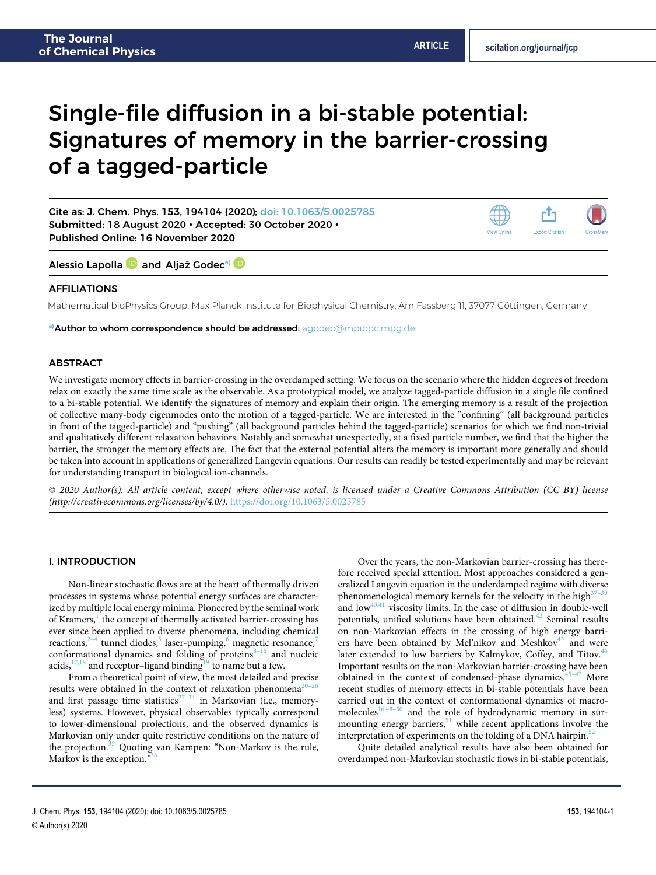# Single-file diffusion in a bi-stable potential: Signatures of memory in the barrier-crossing of a tagged-particle

Cite as: J. Chem. Phys. **153**, 194104 (2020); [doi: 10.1063/5.0025785](https://doi.org/10.1063/5.0025785) Submitted: 18 August 2020 • Accepted: 30 October 2020 • Published Online: 16 November 2020

r<sup>î</sup>ı **Export Citation** View Online

Alessio Lapolla **D** and Aljaž Godec<sup>[a\)](#page-0-0)</sup> D

# AFFILIATIONS

Mathematical bioPhysics Group, Max Planck Institute for Biophysical Chemistry, Am Fassberg 11, 37077 Göttingen, Germany

<span id="page-0-0"></span>**a)**Author to whom correspondence should be addressed: [agodec@mpibpc.mpg.de](mailto:agodec@mpibpc.mpg.de)

# ABSTRACT

We investigate memory effects in barrier-crossing in the overdamped setting. We focus on the scenario where the hidden degrees of freedom relax on exactly the same time scale as the observable. As a prototypical model, we analyze tagged-particle diffusion in a single file confined to a bi-stable potential. We identify the signatures of memory and explain their origin. The emerging memory is a result of the projection of collective many-body eigenmodes onto the motion of a tagged-particle. We are interested in the "confining" (all background particles in front of the tagged-particle) and "pushing" (all background particles behind the tagged-particle) scenarios for which we find non-trivial and qualitatively different relaxation behaviors. Notably and somewhat unexpectedly, at a fixed particle number, we find that the higher the barrier, the stronger the memory effects are. The fact that the external potential alters the memory is important more generally and should be taken into account in applications of generalized Langevin equations. Our results can readily be tested experimentally and may be relevant for understanding transport in biological ion-channels.

© 2020 Author(s). All article content, except where otherwise noted, is licensed under a Creative Commons Attribution (CC BY) license  $(http://creativecommons.org/licenses/by/4.0/">$ .http://creativecommons.org/licenses/by/4.0/).https://doi.org/10.1063/5.0025785.

#### I. INTRODUCTION

Non-linear stochastic flows are at the heart of thermally driven processes in systems whose potential energy surfaces are characterized by multiple local energy minima. Pioneered by the seminal work of Kramers,<sup>[1](#page-8-0)</sup> the concept of thermally activated barrier-crossing has ever since been applied to diverse phenomena, including chemical reactions,<sup>[2](#page-8-1)-4</sup> tunnel diodes,<sup>[5](#page-8-3)</sup> laser-pumping,<sup>[6](#page-8-4)</sup> magnetic resonance,<sup>[7](#page-8-5)</sup> conformational dynamics and folding of proteins $8-16$  $8-16$  and nucleic acids,  $17,18$  $17,18$  and receptor-ligand binding<sup>[19](#page-8-10)</sup> to name but a few.

From a theoretical point of view, the most detailed and precise results were obtained in the context of relaxation phenomena<sup>[20](#page-8-11)</sup> and first passage time statistics $27-34$  $27-34$  in Markovian (i.e., memoryless) systems. However, physical observables typically correspond to lower-dimensional projections, and the observed dynamics is Markovian only under quite restrictive conditions on the nature of the projection.<sup>[35](#page-8-15)</sup> Quoting van Kampen: "Non-Markov is the rule, Markov is the exception."

Over the years, the non-Markovian barrier-crossing has therefore received special attention. Most approaches considered a generalized Langevin equation in the underdamped regime with diverse phenomenological memory kernels for the velocity in the high<sup>3</sup> and  $\text{low}^{40,41}$  $\text{low}^{40,41}$  $\text{low}^{40,41}$  $\text{low}^{40,41}$  viscosity limits. In the case of diffusion in double-well potentials, unified solutions have been obtained.<sup>[42](#page-8-21)</sup> Seminal results on non-Markovian effects in the crossing of high energy barriers have been obtained by Mel'nikov and Meshkov $43$  and were later extended to low barriers by Kalmykov, Coffey, and Titov.<sup>[44](#page-9-1)</sup> Important results on the non-Markovian barrier-crossing have been obtained in the context of condensed-phase dynamics.<sup>[45–](#page-9-2)[47](#page-9-3)</sup> More recent studies of memory effects in bi-stable potentials have been carried out in the context of conformational dynamics of macro-molecules<sup>[16,](#page-8-7)[48](#page-9-4)[–50](#page-9-5)</sup> and the role of hydrodynamic memory in surmounting energy barriers, $51$  while recent applications involve the interpretation of experiments on the folding of a DNA hairpin.<sup>5</sup>

Quite detailed analytical results have also been obtained for overdamped non-Markovian stochastic flows in bi-stable potentials,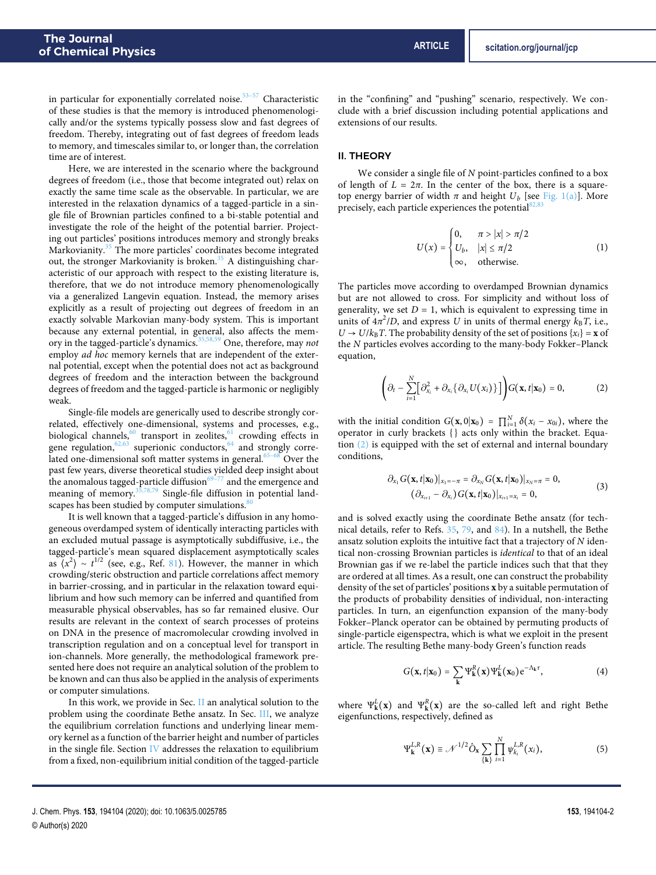in particular for exponentially correlated noise.<sup>[53–](#page-9-8)[57](#page-9-9)</sup> Characteristic of these studies is that the memory is introduced phenomenologically and/or the systems typically possess slow and fast degrees of freedom. Thereby, integrating out of fast degrees of freedom leads to memory, and timescales similar to, or longer than, the correlation time are of interest.

Here, we are interested in the scenario where the background degrees of freedom (i.e., those that become integrated out) relax on exactly the same time scale as the observable. In particular, we are interested in the relaxation dynamics of a tagged-particle in a single file of Brownian particles confined to a bi-stable potential and investigate the role of the height of the potential barrier. Projecting out particles' positions introduces memory and strongly breaks Markovianity.<sup>[35](#page-8-15)</sup> The more particles' coordinates become integrated out, the stronger Markovianity is broken.<sup>[35](#page-8-15)</sup> A distinguishing characteristic of our approach with respect to the existing literature is, therefore, that we do not introduce memory phenomenologically via a generalized Langevin equation. Instead, the memory arises explicitly as a result of projecting out degrees of freedom in an exactly solvable Markovian many-body system. This is important because any external potential, in general, also affects the mem-ory in the tagged-particle's dynamics.<sup>[35,](#page-8-15)[58,](#page-9-10)[59](#page-9-11)</sup> One, therefore, may not employ *ad hoc* memory kernels that are independent of the external potential, except when the potential does not act as background degrees of freedom and the interaction between the background degrees of freedom and the tagged-particle is harmonic or negligibly weak.

Single-file models are generically used to describe strongly correlated, effectively one-dimensional, systems and processes, e.g., biological channels,<sup>[60](#page-9-12)</sup> transport in zeolites,<sup>[61](#page-9-13)</sup> crowding effects in gene regulation,  $62,63$  $62,63$  superionic conductors,  $64$  and strongly corre-lated one-dimensional soft matter systems in general.<sup>[65–](#page-9-17)[68](#page-9-18)</sup> Over the past few years, diverse theoretical studies yielded deep insight about the anomalous tagged-particle diffusion $69-77$  $69-77$  and the emergence and meaning of memory. $35,78,79$  $35,78,79$  $35,78,79$  Single-file diffusion in potential landscapes has been studied by computer simulations.<sup>8</sup>

It is well known that a tagged-particle's diffusion in any homogeneous overdamped system of identically interacting particles with an excluded mutual passage is asymptotically subdiffusive, i.e., the tagged-particle's mean squared displacement asymptotically scales as  $\langle x^2 \rangle \sim t^{1/2}$  (see, e.g., Ref. [81\)](#page-9-24). However, the manner in which crowding/steric obstruction and particle correlations affect memory in barrier-crossing, and in particular in the relaxation toward equilibrium and how such memory can be inferred and quantified from measurable physical observables, has so far remained elusive. Our results are relevant in the context of search processes of proteins on DNA in the presence of macromolecular crowding involved in transcription regulation and on a conceptual level for transport in ion-channels. More generally, the methodological framework presented here does not require an analytical solution of the problem to be known and can thus also be applied in the analysis of experiments or computer simulations.

In this work, we provide in Sec. [II](#page-1-0) an analytical solution to the problem using the coordinate Bethe ansatz. In Sec. [III,](#page-3-0) we analyze the equilibrium correlation functions and underlying linear memory kernel as a function of the barrier height and number of particles in the single file. Section [IV](#page-5-0) addresses the relaxation to equilibrium from a fixed, non-equilibrium initial condition of the tagged-particle in the "confining" and "pushing" scenario, respectively. We conclude with a brief discussion including potential applications and extensions of our results.

#### <span id="page-1-0"></span>II. THEORY

We consider a single file of N point-particles confined to a box of length of  $L = 2\pi$ . In the center of the box, there is a squaretop energy barrier of width  $\pi$  and height  $U_b$  [see [Fig. 1\(a\)\]](#page-2-0). More precisely, each particle experiences the potential<sup>8</sup>

<span id="page-1-2"></span>
$$
U(x) = \begin{cases} 0, & \pi > |x| > \pi/2 \\ U_b, & |x| \le \pi/2 \\ \infty, & \text{otherwise.} \end{cases}
$$
 (1)

The particles move according to overdamped Brownian dynamics but are not allowed to cross. For simplicity and without loss of generality, we set  $D = 1$ , which is equivalent to expressing time in units of  $4\pi^2/D$ , and express U in units of thermal energy  $k_B T$ , i.e.,  $U \rightarrow U/k_B T$ . The probability density of the set of positions  $\{x_i\} = \mathbf{x}$  of the N particles evolves according to the many-body Fokker–Planck equation,

<span id="page-1-1"></span>
$$
\left(\partial_t - \sum_{i=1}^N \big[\partial_{x_i}^2 + \partial_{x_i} \{\partial_{x_i} U(x_i)\}\big]\right) G(\mathbf{x}, t | \mathbf{x}_0) = 0, \tag{2}
$$

with the initial condition  $G(\mathbf{x}, 0 | \mathbf{x}_0) = \prod_{i=1}^{N} \delta(x_i - x_{0i})$ , where the operator in curly brackets { } acts only within the bracket. Equation [\(2\)](#page-1-1) is equipped with the set of external and internal boundary conditions,

$$
\partial_{x_1} G(\mathbf{x}, t | \mathbf{x}_0) |_{x_1 = -\pi} = \partial_{x_N} G(\mathbf{x}, t | \mathbf{x}_0) |_{x_N = \pi} = 0,
$$
  
\n
$$
(\partial_{x_{i+1}} - \partial_{x_i}) G(\mathbf{x}, t | \mathbf{x}_0) |_{x_{i+1} = x_i} = 0,
$$
\n(3)

and is solved exactly using the coordinate Bethe ansatz (for technical details, refer to Refs. [35,](#page-8-15) [79,](#page-9-22) and [84\)](#page-9-27). In a nutshell, the Bethe ansatz solution exploits the intuitive fact that a trajectory of N identical non-crossing Brownian particles is identical to that of an ideal Brownian gas if we re-label the particle indices such that that they are ordered at all times. As a result, one can construct the probability density of the set of particles' positions **x** by a suitable permutation of the products of probability densities of individual, non-interacting particles. In turn, an eigenfunction expansion of the many-body Fokker–Planck operator can be obtained by permuting products of single-particle eigenspectra, which is what we exploit in the present article. The resulting Bethe many-body Green's function reads

$$
G(\mathbf{x},t|\mathbf{x}_0) = \sum_{\mathbf{k}} \Psi_{\mathbf{k}}^R(\mathbf{x}) \Psi_{\mathbf{k}}^L(\mathbf{x}_0) e^{-\Lambda_{\mathbf{k}} \tau},
$$
(4)

where  $\Psi_{\mathbf{k}}^{L}(\mathbf{x})$  and  $\Psi_{\mathbf{k}}^{R}(\mathbf{x})$  are the so-called left and right Bethe eigenfunctions, respectively, defined as

<span id="page-1-3"></span>
$$
\Psi_{\mathbf{k}}^{L,R}(\mathbf{x}) \equiv \mathscr{N}^{1/2} \hat{O}_{\mathbf{x}} \sum_{\{\mathbf{k}\}} \prod_{i=1}^{N} \psi_{k_i}^{L,R}(x_i), \tag{5}
$$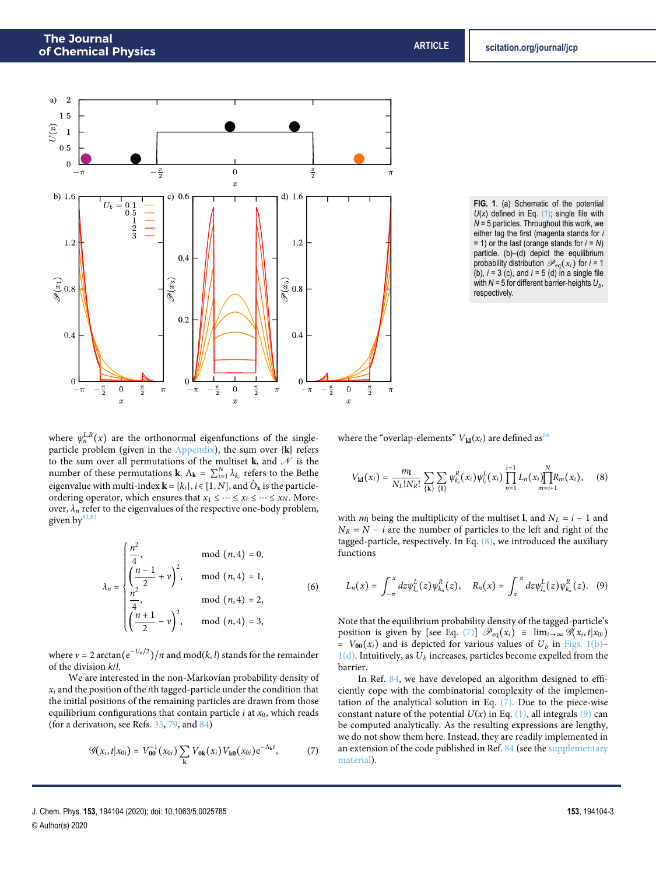<span id="page-2-0"></span>

**FIG. 1**. (a) Schematic of the potential  $U(x)$  defined in Eq.  $(1)$ ; single file with *N* = 5 particles. Throughout this work, we either tag the first (magenta stands for *i* = 1) or the last (orange stands for *i* = *N*) particle. (b)–(d) depict the equilibrium probability distribution  $\mathcal{P}_{eq}(x_i)$  for  $i = 1$ (b), *i* = 3 (c), and *i* = 5 (d) in a single file with  $N = 5$  for different barrier-heights  $U_b$ , respectively.

where  $\psi_n^{L,R}(x)$  are the orthonormal eigenfunctions of the singleparticle problem (given in the [Appendix\)](#page-7-0), the sum over {**k**} refers to the sum over all permutations of the multiset **k**, and  $\mathscr N$  is the number of these permutations **k**.  $\Lambda_k = \sum_{i=1}^N \lambda_{k_i}$  refers to the Bethe eigenvalue with multi-index  $\mathbf{k} = \{k_i\}, i \in [1, N]$ , and  $\hat{O}_\mathbf{x}$  is the particleordering operator, which ensures that  $x_1 \leq \cdots \leq x_i \leq \cdots \leq x_N$ . Moreover,  $\lambda_n$  refer to the eigenvalues of the respective one-body problem, given by $82$ 

$$
\lambda_n = \begin{cases}\n\frac{n^2}{4}, & \text{mod } (n, 4) = 0, \\
\left(\frac{n-1}{2} + v\right)^2, & \text{mod } (n, 4) = 1, \\
\frac{n^2}{4}, & \text{mod } (n, 4) = 2, \\
\left(\frac{n+1}{2} - v\right)^2, & \text{mod } (n, 4) = 3,\n\end{cases}
$$
\n(6)

where  $v = 2 \arctan(e^{-U_b/2})/\pi$  and mod(*k*, *l*) stands for the remainder of the division k/l.

We are interested in the non-Markovian probability density of  $x_i$  and the position of the *i*th tagged-particle under the condition that the initial positions of the remaining particles are drawn from those equilibrium configurations that contain particle  $i$  at  $x_0$ , which reads (for a derivation, see Refs. [35,](#page-8-15) [79,](#page-9-22) and [84\)](#page-9-27)

$$
\mathscr{G}(x_i,t|x_{0i})=V_{00}^{-1}(x_{0i})\sum_{\mathbf{k}}V_{0\mathbf{k}}(x_i)V_{\mathbf{k0}}(x_{0i})e^{-\Lambda_{\mathbf{k}}t},\qquad(7)
$$

where the "overlap-elements"  $V_{kl}(x_i)$  are defined as<sup>[84](#page-9-27)</sup>

<span id="page-2-1"></span>
$$
V_{kl}(x_i) = \frac{m_l}{N_L! N_R!} \sum_{\{k\}} \sum_{\{l\}} \psi_{k_i}^R(x_i) \psi_{l_i}^L(x_i) \prod_{n=1}^{i-1} L_n(x_i) \prod_{m=i+1}^N R_m(x_i), \quad (8)
$$

with  $m<sub>l</sub>$  being the multiplicity of the multiset **l**, and  $N<sub>L</sub> = i - 1$  and  $N_R = N - i$  are the number of particles to the left and right of the tagged-particle, respectively. In Eq.  $(8)$ , we introduced the auxiliary functions

<span id="page-2-4"></span><span id="page-2-3"></span>
$$
L_n(x) = \int_{-\pi}^x dz \psi_{l_n}^L(z) \psi_{k_n}^R(z), \quad R_n(x) = \int_x^{\pi} dz \psi_{l_n}^L(z) \psi_{k_n}^R(z). \quad (9)
$$

Note that the equilibrium probability density of the tagged-particle's position is given by [see Eq. [\(7\)\]](#page-2-2)  $\mathscr{P}_{eq}(x_i) \equiv \lim_{t \to \infty} \mathscr{G}(x_i, t | x_{0i})$ =  $V_{00}(x_i)$  and is depicted for various values of  $U_b$  in [Figs. 1\(b\)–](#page-2-0)  $1(d)$ . Intuitively, as  $U_b$  increases, particles become expelled from the barrier.

<span id="page-2-2"></span>In Ref. [84,](#page-9-27) we have developed an algorithm designed to efficiently cope with the combinatorial complexity of the implementation of the analytical solution in Eq.  $(7)$ . Due to the piece-wise constant nature of the potential  $U(x)$  in Eq. [\(1\),](#page-1-2) all integrals [\(9\)](#page-2-3) can be computed analytically. As the resulting expressions are lengthy, we do not show them here. Instead, they are readily implemented in an extension of the code published in Ref. [84](#page-9-27) (see the [supplementary](https://www.scitation.org/doi/suppl/10.1063/5.0025785) [material\)](https://www.scitation.org/doi/suppl/10.1063/5.0025785).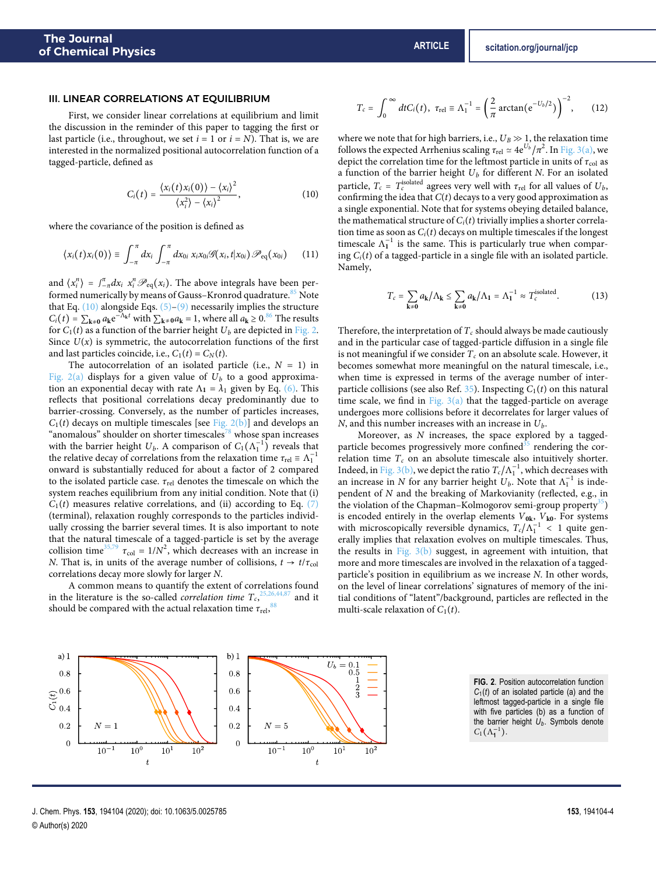## <span id="page-3-0"></span>III. LINEAR CORRELATIONS AT EQUILIBRIUM

First, we consider linear correlations at equilibrium and limit the discussion in the reminder of this paper to tagging the first or last particle (i.e., throughout, we set  $i = 1$  or  $i = N$ ). That is, we are interested in the normalized positional autocorrelation function of a tagged-particle, defined as

$$
C_i(t) = \frac{\langle x_i(t)x_i(0)\rangle - \langle x_i\rangle^2}{\langle x_i^2\rangle - \langle x_i\rangle^2},
$$
\n(10)

where the covariance of the position is defined as

$$
\langle x_i(t)x_i(0)\rangle \equiv \int_{-\pi}^{\pi} dx_i \int_{-\pi}^{\pi} dx_{0i} x_i x_{0i} \mathscr{G}(x_i,t|x_{0i}) \mathscr{P}_{\text{eq}}(x_{0i}) \qquad (11)
$$

and  $\langle x_i^n \rangle = \int_{-\pi}^{\pi} dx_i \ x_i^n \mathcal{P}_{eq}(x_i)$ . The above integrals have been per-formed numerically by means of Gauss–Kronrod quadrature.<sup>[85](#page-9-28)</sup> Note that Eq.  $(10)$  alongside Eqs.  $(5)-(9)$  $(5)-(9)$  necessarily implies the structure  $C_i(t) = \sum_{k \neq 0} a_k e^{-\Lambda_k t}$  with  $\sum_{k \neq 0} a_k = 1$ , where all  $a_k \geq 0.86$  $a_k \geq 0.86$  The results for  $C_1(t)$  as a function of the barrier height  $U_b$  are depicted in [Fig. 2.](#page-3-2) Since  $U(x)$  is symmetric, the autocorrelation functions of the first and last particles coincide, i.e.,  $C_1(t) = C_N(t)$ .

The autocorrelation of an isolated particle (i.e.,  $N = 1$ ) in [Fig. 2\(a\)](#page-3-2) displays for a given value of  $U_b$  to a good approximation an exponential decay with rate  $\Lambda_1 = \lambda_1$  given by Eq. [\(6\).](#page-2-4) This reflects that positional correlations decay predominantly due to barrier-crossing. Conversely, as the number of particles increases,  $C_1(t)$  decays on multiple timescales [see [Fig. 2\(b\)\]](#page-3-2) and develops an "anomalous" shoulder on shorter timescales<sup>[78](#page-9-21)</sup> whose span increases with the barrier height  $U_b$ . A comparison of  $C_1(\Lambda_1^{-1})$  reveals that the relative decay of correlations from the relaxation time  $\tau_{rel} \equiv \Lambda_1^{-1}$ onward is substantially reduced for about a factor of 2 compared to the isolated particle case. *τ*rel denotes the timescale on which the system reaches equilibrium from any initial condition. Note that (i)  $C_1(t)$  measures relative correlations, and (ii) according to Eq. [\(7\)](#page-2-2) (terminal), relaxation roughly corresponds to the particles individually crossing the barrier several times. It is also important to note that the natural timescale of a tagged-particle is set by the average collision time<sup>[35](#page-8-15)[,79](#page-9-22)</sup>  $\tau_{\text{col}} = 1/N^2$ , which decreases with an increase in N. That is, in units of the average number of collisions,  $t \rightarrow t/\tau_{\text{col}}$ correlations decay more slowly for larger N.

A common means to quantify the extent of correlations found in the literature is the so-called *correlation time*  $T_c$ ,  $^{25,26,44,87}$  $^{25,26,44,87}$  $^{25,26,44,87}$  $^{25,26,44,87}$  $^{25,26,44,87}$  $^{25,26,44,87}$  and it should be compared with the actual relaxation time  $\tau_{\rm rel}$ ,  $^{88}$  $^{88}$  $^{88}$ 

$$
T_c = \int_0^\infty dt C_i(t), \ \tau_{rel} \equiv \Lambda_1^{-1} = \left(\frac{2}{\pi} \arctan(e^{-U_b/2})\right)^{-2}, \qquad (12)
$$

<span id="page-3-1"></span>where we note that for high barriers, i.e.,  $U_B \gg 1$ , the relaxation time follows the expected Arrhenius scaling  $\tau_{\rm rel} \simeq 4{\rm e}^{U_b}/\pi^2$ . In [Fig. 3\(a\),](#page-4-0) we depict the correlation time for the leftmost particle in units of  $\tau_{\text{col}}$  as a function of the barrier height  $U_b$  for different  $N$ . For an isolated particle,  $T_c$  =  $T_c^{\rm isolated}$  agrees very well with  $\tau_{\rm rel}$  for all values of  $U_b,$ confirming the idea that  $C(t)$  decays to a very good approximation as a single exponential. Note that for systems obeying detailed balance, the mathematical structure of  $C_i(t)$  trivially implies a shorter correlation time as soon as  $C_i(t)$  decays on multiple timescales if the longest timescale  $\Lambda_1^{-1}$  is the same. This is particularly true when comparing  $C<sub>i</sub>(t)$  of a tagged-particle in a single file with an isolated particle. Namely,

$$
T_c = \sum_{\mathbf{k} \neq \mathbf{0}} a_{\mathbf{k}} / \Lambda_{\mathbf{k}} \le \sum_{\mathbf{k} \neq \mathbf{0}} a_{\mathbf{k}} / \Lambda_{\mathbf{1}} = \Lambda_{\mathbf{1}}^{-1} \approx T_c^{\text{isolated}}.
$$
 (13)

Therefore, the interpretation of  $T_c$  should always be made cautiously and in the particular case of tagged-particle diffusion in a single file is not meaningful if we consider  $T_c$  on an absolute scale. However, it becomes somewhat more meaningful on the natural timescale, i.e., when time is expressed in terms of the average number of inter-particle collisions (see also Ref. [35\)](#page-8-15). Inspecting  $C_1(t)$  on this natural time scale, we find in Fig.  $3(a)$  that the tagged-particle on average undergoes more collisions before it decorrelates for larger values of N, and this number increases with an increase in  $U_b$ .

Moreover, as N increases, the space explored by a taggedparticle becomes progressively more confined $35$  rendering the correlation time  $T_c$  on an absolute timescale also intuitively shorter. Indeed, in [Fig. 3\(b\),](#page-4-0) we depict the ratio  $T_c/\Lambda_1^{-1}$ , which decreases with an increase in N for any barrier height  $U_b$ . Note that  $\Lambda_1^{-1}$  is independent of N and the breaking of Markovianity (reflected, e.g., in the violation of the Chapman–Kolmogorov semi-group property<sup>[35](#page-8-15)</sup>) is encoded entirely in the overlap elements V**0k**, V**k0**. For systems with microscopically reversible dynamics,  $T_c/\Lambda_1^{-1}$  < 1 quite generally implies that relaxation evolves on multiple timescales. Thus, the results in Fig.  $3(b)$  suggest, in agreement with intuition, that more and more timescales are involved in the relaxation of a taggedparticle's position in equilibrium as we increase N. In other words, on the level of linear correlations' signatures of memory of the initial conditions of "latent"/background, particles are reflected in the multi-scale relaxation of  $C_1(t)$ .

<span id="page-3-2"></span>

**FIG. 2**. Position autocorrelation function *C*1(*t*) of an isolated particle (a) and the leftmost tagged-particle in a single file with five particles (b) as a function of the barrier height *Ub*. Symbols denote  $C_1(\Lambda_1^{-1}).$ 

J. Chem. Phys. **153**, 194104 (2020); doi: 10.1063/5.0025785 **153**, 194104-4 © Author(s) 2020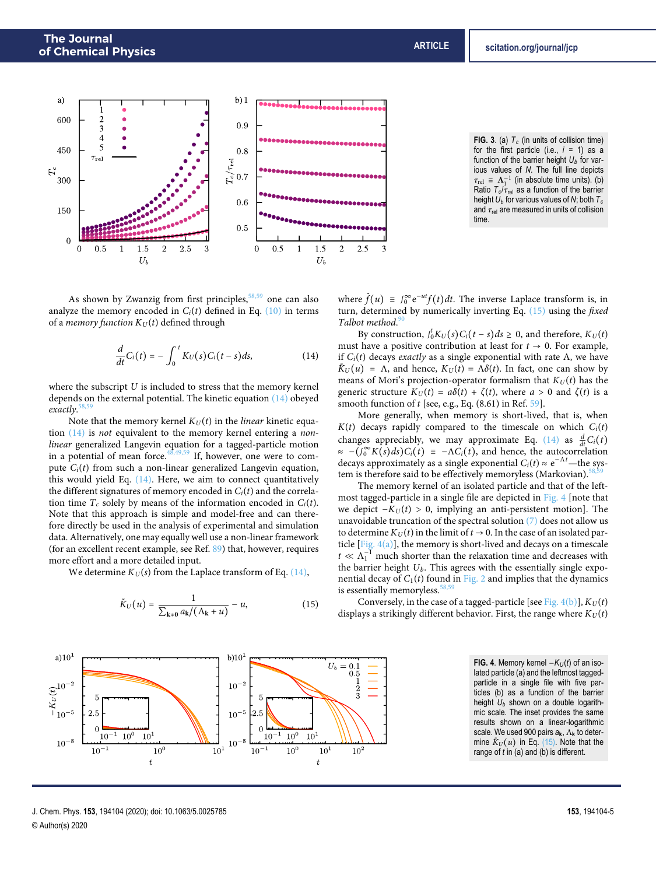<span id="page-4-0"></span>



As shown by Zwanzig from first principles,  $58,59$  $58,59$  one can also analyze the memory encoded in  $C_i(t)$  defined in Eq. [\(10\)](#page-3-1) in terms of a *memory function*  $K_U(t)$  defined through

$$
\frac{d}{dt}C_i(t) = -\int_0^t K_U(s)C_i(t-s)ds,
$$
\n(14)

where the subscript  $U$  is included to stress that the memory kernel depends on the external potential. The kinetic equation [\(14\)](#page-4-1) obeyed exactly. [58](#page-9-10)[,59](#page-9-11)

Note that the memory kernel  $K_U(t)$  in the *linear* kinetic equation [\(14\)](#page-4-1) is not equivalent to the memory kernel entering a nonlinear generalized Langevin equation for a tagged-particle motion in a potential of mean force. $48,49,59$  $48,49,59$  $48,49,59$  If, however, one were to compute  $C_i(t)$  from such a non-linear generalized Langevin equation, this would yield Eq. [\(14\).](#page-4-1) Here, we aim to connect quantitatively the different signatures of memory encoded in  $C<sub>i</sub>(t)$  and the correlation time  $T_c$  solely by means of the information encoded in  $C_i(t)$ . Note that this approach is simple and model-free and can therefore directly be used in the analysis of experimental and simulation data. Alternatively, one may equally well use a non-linear framework (for an excellent recent example, see Ref. [89\)](#page-9-33) that, however, requires more effort and a more detailed input.

We determine  $K_U(s)$  from the Laplace transform of Eq. [\(14\),](#page-4-1)

$$
\tilde{K}_U(u) = \frac{1}{\sum_{k \neq 0} a_k / (\Lambda_k + u)} - u,\tag{15}
$$



<span id="page-4-1"></span>By construction,  $f_0^t K_U(s) C_i(t - s) ds \ge 0$ , and therefore,  $K_U(t)$ must have a positive contribution at least for  $t \to 0$ . For example, if  $C_i(t)$  decays *exactly* as a single exponential with rate Λ, we have  $\tilde{K}_U(u) = \Lambda$ , and hence,  $K_U(t) = \Lambda \delta(t)$ . In fact, one can show by means of Mori's projection-operator formalism that  $K_U(t)$  has the generic structure  $K_U(t) = a\delta(t) + \zeta(t)$ , where  $a > 0$  and  $\zeta(t)$  is a smooth function of  $t$  [see, e.g., Eq.  $(8.61)$  in Ref. [59\]](#page-9-11).

More generally, when memory is short-lived, that is, when  $K(t)$  decays rapidly compared to the timescale on which  $C<sub>i</sub>(t)$ changes appreciably, we may approximate Eq. [\(14\)](#page-4-1) as  $\frac{d}{dt}C_i(t)$  $\approx -(\int_0^\infty K(s)ds)C_i(t) \equiv -\Lambda C_i(t)$ , and hence, the autocorrelation decays approximately as a single exponential  $C_i(t) \approx e^{-\Lambda t}$ —the system is therefore said to be effectively memoryless (Markovian).

The memory kernel of an isolated particle and that of the leftmost tagged-particle in a single file are depicted in [Fig. 4](#page-4-3) [note that we depict  $-K_U(t) > 0$ , implying an anti-persistent motion]. The unavoidable truncation of the spectral solution  $(7)$  does not allow us to determine  $K_U(t)$  in the limit of  $t \to 0$ . In the case of an isolated particle  $[Fig. 4(a)]$ , the memory is short-lived and decays on a timescale  $t \ll \Lambda_1^{-1}$  much shorter than the relaxation time and decreases with the barrier height  $U_b$ . This agrees with the essentially single exponential decay of  $C_1(t)$  found in [Fig. 2](#page-3-2) and implies that the dynamics is essentially memoryless.<sup>3</sup>

<span id="page-4-2"></span>Conversely, in the case of a tagged-particle [see Fig.  $4(b)$ ],  $K_U(t)$ displays a strikingly different behavior. First, the range where  $K_U(t)$ 

> **FIG. 4**. Memory kernel  $-K_U(t)$  of an isolated particle (a) and the leftmost taggedparticle in a single file with five particles (b) as a function of the barrier height *U<sup>b</sup>* shown on a double logarithmic scale. The inset provides the same results shown on a linear-logarithmic scale. We used 900 pairs *a***k**, Λ**<sup>k</sup>** to determine  $K_U(u)$  in Eq. [\(15\).](#page-4-2) Note that the range of *t* in (a) and (b) is different.

<span id="page-4-3"></span>

J. Chem. Phys. **153**, 194104 (2020); doi: 10.1063/5.0025785 **153**, 194104-5 © Author(s) 2020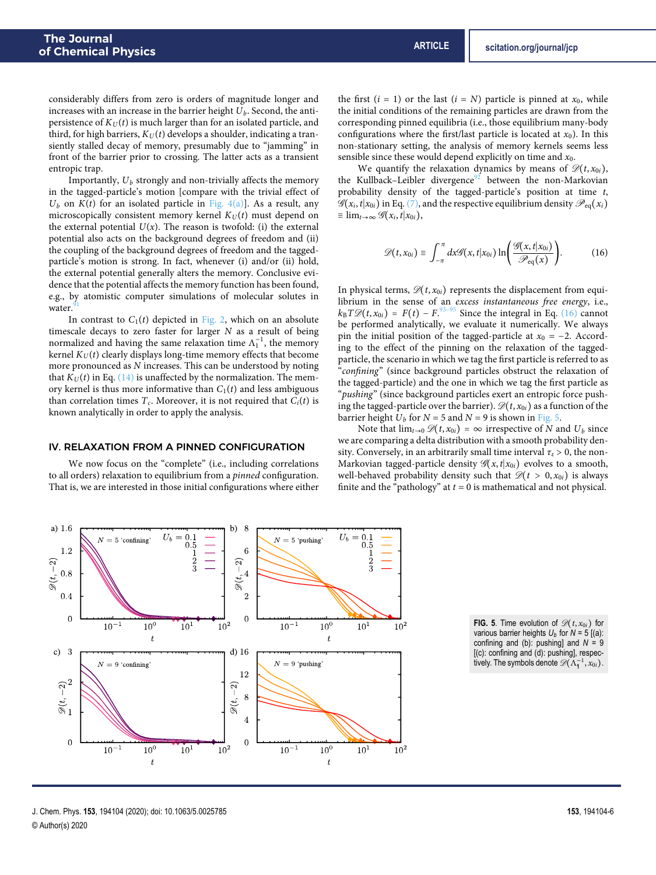considerably differs from zero is orders of magnitude longer and increases with an increase in the barrier height  $U_b$ . Second, the antipersistence of  $K_U(t)$  is much larger than for an isolated particle, and third, for high barriers,  $K_U(t)$  develops a shoulder, indicating a transiently stalled decay of memory, presumably due to "jamming" in front of the barrier prior to crossing. The latter acts as a transient entropic trap.

Importantly,  $U_b$  strongly and non-trivially affects the memory in the tagged-particle's motion [compare with the trivial effect of  $U_b$  on  $K(t)$  for an isolated particle in [Fig. 4\(a\)\]](#page-4-3). As a result, any microscopically consistent memory kernel  $K_U(t)$  must depend on the external potential  $U(x)$ . The reason is twofold: (i) the external potential also acts on the background degrees of freedom and (ii) the coupling of the background degrees of freedom and the taggedparticle's motion is strong. In fact, whenever (i) and/or (ii) hold, the external potential generally alters the memory. Conclusive evidence that the potential affects the memory function has been found, e.g., by atomistic computer simulations of molecular solutes in water.

In contrast to  $C_1(t)$  depicted in [Fig. 2,](#page-3-2) which on an absolute timescale decays to zero faster for larger  $N$  as a result of being normalized and having the same relaxation time  $\Lambda_1^{-1}$ , the memory kernel  $K_U(t)$  clearly displays long-time memory effects that become more pronounced as N increases. This can be understood by noting that  $K_U(t)$  in Eq. [\(14\)](#page-4-1) is unaffected by the normalization. The memory kernel is thus more informative than  $C_1(t)$  and less ambiguous than correlation times  $T_c$ . Moreover, it is not required that  $C_i(t)$  is known analytically in order to apply the analysis.

# <span id="page-5-0"></span>IV. RELAXATION FROM A PINNED CONFIGURATION

We now focus on the "complete" (i.e., including correlations to all orders) relaxation to equilibrium from a pinned configuration. That is, we are interested in those initial configurations where either

the first  $(i = 1)$  or the last  $(i = N)$  particle is pinned at  $x_0$ , while the initial conditions of the remaining particles are drawn from the corresponding pinned equilibria (i.e., those equilibrium many-body configurations where the first/last particle is located at  $x_0$ ). In this non-stationary setting, the analysis of memory kernels seems less sensible since these would depend explicitly on time and  $x_0$ .

We quantify the relaxation dynamics by means of  $\mathscr{D}(t, x_{0i})$ , the Kullback-Leibler divergence<sup>[92](#page-9-36)</sup> between the non-Markovian probability density of the tagged-particle's position at time t,  $\mathscr{G}(x_i,t|x_{0i})$  in Eq. [\(7\),](#page-2-2) and the respective equilibrium density  $\mathscr{P}_{eq}(x_i)$  $\equiv \lim_{t\to\infty} \mathscr{G}(x_i,t|x_{0i}),$ 

<span id="page-5-1"></span>
$$
\mathscr{D}(t,x_{0i})\equiv\int_{-\pi}^{\pi}dx\mathscr{G}(x,t|x_{0i})\ln\bigg(\frac{\mathscr{G}(x,t|x_{0i})}{\mathscr{P}_{\text{eq}}(x)}\bigg). \hspace{1cm} (16)
$$

In physical terms,  $\mathcal{D}(t, x_{0i})$  represents the displacement from equilibrium in the sense of an excess instantaneous free energy, i.e.,  $k_{\text{B}}T\mathscr{D}(t,x_{0i}) = F(t) - F^{0.93-95}$  $k_{\text{B}}T\mathscr{D}(t,x_{0i}) = F(t) - F^{0.93-95}$  $k_{\text{B}}T\mathscr{D}(t,x_{0i}) = F(t) - F^{0.93-95}$  Since the integral in Eq. [\(16\)](#page-5-1) cannot be performed analytically, we evaluate it numerically. We always pin the initial position of the tagged-particle at  $x_0 = -2$ . According to the effect of the pinning on the relaxation of the taggedparticle, the scenario in which we tag the first particle is referred to as "confining" (since background particles obstruct the relaxation of the tagged-particle) and the one in which we tag the first particle as "pushing" (since background particles exert an entropic force pushing the tagged-particle over the barrier).  $\mathcal{D}(t, x_{0i})$  as a function of the barrier height  $U_b$  for  $N = 5$  and  $N = 9$  is shown in [Fig. 5.](#page-5-2)

Note that  $\lim_{t\to 0} \mathcal{D}(t, x_{0i}) = \infty$  irrespective of N and  $U_b$  since we are comparing a delta distribution with a smooth probability density. Conversely, in an arbitrarily small time interval  $\tau_{\varepsilon} > 0$ , the non-Markovian tagged-particle density  $\mathscr{G}(x,t|x_{0i})$  evolves to a smooth, well-behaved probability density such that  $\mathscr{D}(t > 0, x_{0i})$  is always finite and the "pathology" at  $t = 0$  is mathematical and not physical.

<span id="page-5-2"></span>

**FIG. 5**. Time evolution of  $\mathcal{D}(t, x_{0i})$  for various barrier heights  $U_b$  for  $N = 5$  [(a): confining and (b): pushing] and *N* = 9 [(c): confining and (d): pushing], respectively. The symbols denote  $\mathscr{D}(\Lambda_1^{-1}, x_{0i})$ .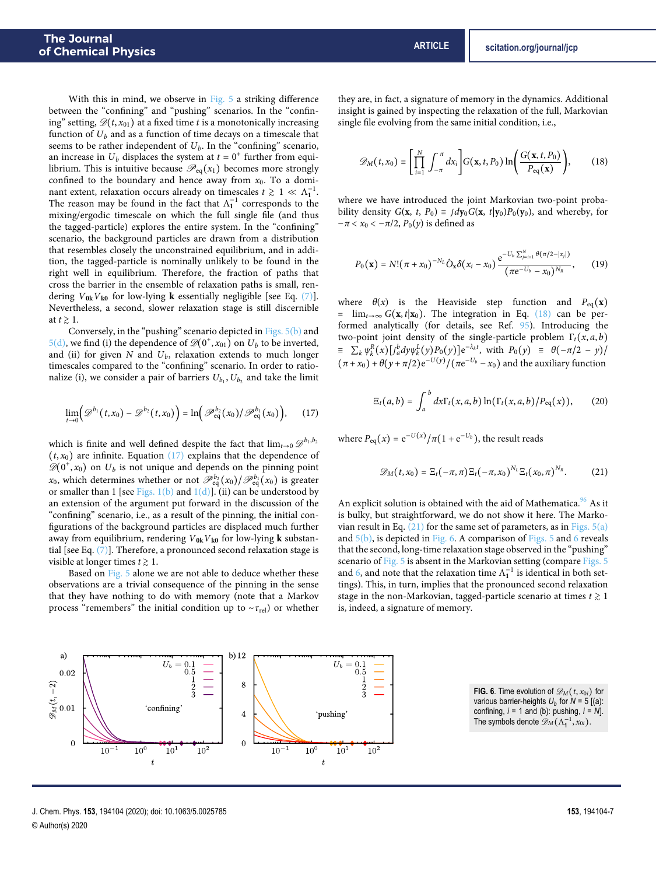With this in mind, we observe in [Fig. 5](#page-5-2) a striking difference between the "confining" and "pushing" scenarios. In the "confining" setting,  $\mathcal{D}(t, x_{01})$  at a fixed time t is a monotonically increasing function of  $U_b$  and as a function of time decays on a timescale that seems to be rather independent of  $U_b$ . In the "confining" scenario, an increase in  $U_b$  displaces the system at  $t = 0^+$  further from equilibrium. This is intuitive because  $\mathcal{P}_{eq}(x_1)$  becomes more strongly confined to the boundary and hence away from  $x_0$ . To a dominant extent, relaxation occurs already on timescales  $t \, \gtrsim \, 1 \, \ll \, \Lambda_1^{-1}$ . The reason may be found in the fact that  $\Lambda_1^{-1}$  corresponds to the mixing/ergodic timescale on which the full single file (and thus the tagged-particle) explores the entire system. In the "confining" scenario, the background particles are drawn from a distribution that resembles closely the unconstrained equilibrium, and in addition, the tagged-particle is nominally unlikely to be found in the right well in equilibrium. Therefore, the fraction of paths that cross the barrier in the ensemble of relaxation paths is small, rendering  $V_{0k}V_{k0}$  for low-lying **k** essentially negligible [see Eq. [\(7\)\]](#page-2-2). Nevertheless, a second, slower relaxation stage is still discernible at  $t \geq 1$ .

Conversely, in the "pushing" scenario depicted in [Figs. 5\(b\)](#page-5-2) and  $5(d)$ , we find (i) the dependence of  $\mathscr{D}(0^+, x_{01})$  on  $U_b$  to be inverted, and (ii) for given N and  $U_b$ , relaxation extends to much longer timescales compared to the "confining" scenario. In order to rationalize (i), we consider a pair of barriers  $U_{b_1}, U_{b_2}$  and take the limit

$$
\lim_{t\to 0} \Bigl(\mathscr{D}^{b_1}(t,x_0)-\mathscr{D}^{b_2}(t,x_0)\Bigr)=\ln\Bigl(\mathscr{P}_{\text{eq}}^{b_2}(x_0)/\mathscr{P}_{\text{eq}}^{b_1}(x_0)\Bigr),\qquad(17)
$$

which is finite and well defined despite the fact that  $\lim_{t\to 0}\mathscr{D}^{b_1,b_2}$  $(t, x_0)$  are infinite. Equation  $(17)$  explains that the dependence of  $\mathscr{D}(0^+, x_0)$  on  $U_b$  is not unique and depends on the pinning point  $x_0$ , which determines whether or not  $\mathscr{P}^{b_2}_{\mathrm{eq}}(x_0)/\mathscr{P}^{b_1}_{\mathrm{eq}}(x_0)$  is greater or smaller than 1 [see Figs.  $1(b)$  and  $1(d)$ ]. (ii) can be understood by an extension of the argument put forward in the discussion of the "confining" scenario, i.e., as a result of the pinning, the initial configurations of the background particles are displaced much further away from equilibrium, rendering V**0k**V**k0** for low-lying **k** substantial [see Eq. [\(7\)\]](#page-2-2). Therefore, a pronounced second relaxation stage is visible at longer times  $t \geq 1$ .

Based on [Fig. 5](#page-5-2) alone we are not able to deduce whether these observations are a trivial consequence of the pinning in the sense that they have nothing to do with memory (note that a Markov process "remembers" the initial condition up to ∼*τ*rel) or whether

they are, in fact, a signature of memory in the dynamics. Additional insight is gained by inspecting the relaxation of the full, Markovian single file evolving from the same initial condition, i.e.,

<span id="page-6-1"></span>
$$
\mathscr{D}_M(t,x_0) \equiv \left[ \prod_{i=1}^N \int_{-\pi}^{\pi} dx_i \right] G(\mathbf{x},t,P_0) \ln \left( \frac{G(\mathbf{x},t,P_0)}{P_{\text{eq}}(\mathbf{x})} \right), \tag{18}
$$

where we have introduced the joint Markovian two-point probability density  $G(\mathbf{x}, t, P_0) \equiv \int d\mathbf{y}_0 G(\mathbf{x}, t | \mathbf{y}_0) P_0(\mathbf{y}_0)$ , and whereby, for  $-\pi < x_0 < -\pi/2$ ,  $P_0(y)$  is defined as

$$
P_0(\mathbf{x}) = N! (\pi + x_0)^{-N_L} \hat{O}_\mathbf{x} \delta(x_i - x_0) \frac{e^{-U_b \sum_{j=i+1}^N \theta(\pi/2 - |x_j|)}}{(\pi e^{-U_b} - x_0)^{N_R}}, \qquad (19)
$$

where  $\theta(x)$  is the Heaviside step function and  $P_{eq}(x)$ =  $\lim_{t\to\infty} G(x,t|x_0)$ . The integration in Eq. [\(18\)](#page-6-1) can be performed analytically (for details, see Ref. [95\)](#page-10-0). Introducing the two-point joint density of the single-particle problem  $\Gamma_t(x, a, b)$  $\equiv \sum_{k} \psi_{k}^{R}(x) \left[ \int_{a}^{b} dy \psi_{k}^{L}(y) P_{0}(y) \right] e^{-\lambda_{k}t}$ , with  $P_{0}(y) \equiv \theta(-\pi/2 - y)$ /  $(\pi + x_0) + \theta(y + \pi/2) e^{-U(y)} / (\pi e^{-U_b} - x_0)$  and the auxiliary function

$$
\Xi_t(a,b)=\int_a^b dx \Gamma_t(x,a,b)\ln(\Gamma_t(x,a,b)/P_{\text{eq}}(x)),\qquad(20)
$$

<span id="page-6-0"></span>where  $P_{\text{eq}}(x) = e^{-U(x)}/\pi(1+e^{-U_b})$ , the result reads

<span id="page-6-2"></span>
$$
\mathscr{D}_M(t,x_0) = \Xi_t(-\pi,\pi) \Xi_t(-\pi,x_0)^{N_L} \Xi_t(x_0,\pi)^{N_R}.
$$
 (21)

An explicit solution is obtained with the aid of Mathematica.<sup>[96](#page-10-1)</sup> As it is bulky, but straightforward, we do not show it here. The Markovian result in Eq.  $(21)$  for the same set of parameters, as in Figs.  $5(a)$ and  $5(b)$ , is depicted in [Fig. 6.](#page-6-3) A comparison of [Figs. 5](#page-5-2) and [6](#page-6-3) reveals that the second, long-time relaxation stage observed in the "pushing" scenario of [Fig. 5](#page-5-2) is absent in the Markovian setting (compare [Figs. 5](#page-5-2) and [6,](#page-6-3) and note that the relaxation time  $\Lambda_1^{-1}$  is identical in both settings). This, in turn, implies that the pronounced second relaxation stage in the non-Markovian, tagged-particle scenario at times  $t \geq 1$ is, indeed, a signature of memory.

> **FIG. 6.** Time evolution of  $\mathscr{D}_M(t, x_{0i})$  for various barrier-heights  $U_b$  for  $N = 5$  [(a): confining, *i* = 1 and (b): pushing, *i* = *N*]. The symbols denote  $\mathscr{D}_M(\Lambda_1^{-1},x_{0i})$ .

<span id="page-6-3"></span>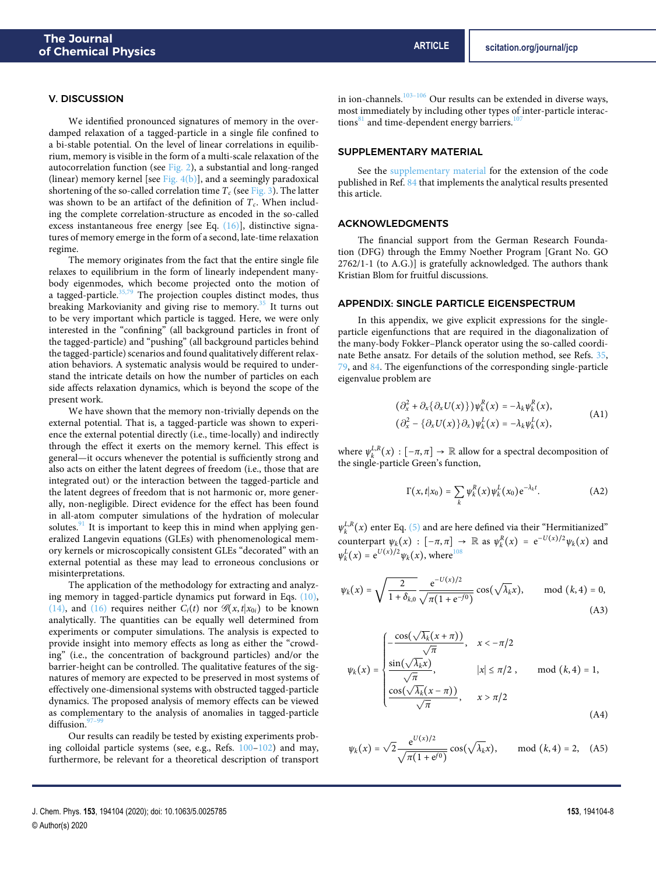#### V. DISCUSSION

We identified pronounced signatures of memory in the overdamped relaxation of a tagged-particle in a single file confined to a bi-stable potential. On the level of linear correlations in equilibrium, memory is visible in the form of a multi-scale relaxation of the autocorrelation function (see [Fig. 2\)](#page-3-2), a substantial and long-ranged (linear) memory kernel [see Fig.  $4(b)$ ], and a seemingly paradoxical shortening of the so-called correlation time  $T_c$  (see [Fig. 3\)](#page-4-0). The latter was shown to be an artifact of the definition of  $T_c$ . When including the complete correlation-structure as encoded in the so-called excess instantaneous free energy [see Eq. [\(16\)\]](#page-5-1), distinctive signatures of memory emerge in the form of a second, late-time relaxation regime.

The memory originates from the fact that the entire single file relaxes to equilibrium in the form of linearly independent manybody eigenmodes, which become projected onto the motion of a tagged-particle.<sup>[35](#page-8-15)[,79](#page-9-22)</sup> The projection couples distinct modes, thus breaking Markovianity and giving rise to memory. $35$  It turns out to be very important which particle is tagged. Here, we were only interested in the "confining" (all background particles in front of the tagged-particle) and "pushing" (all background particles behind the tagged-particle) scenarios and found qualitatively different relaxation behaviors. A systematic analysis would be required to understand the intricate details on how the number of particles on each side affects relaxation dynamics, which is beyond the scope of the present work.

We have shown that the memory non-trivially depends on the external potential. That is, a tagged-particle was shown to experience the external potential directly (i.e., time-locally) and indirectly through the effect it exerts on the memory kernel. This effect is general—it occurs whenever the potential is sufficiently strong and also acts on either the latent degrees of freedom (i.e., those that are integrated out) or the interaction between the tagged-particle and the latent degrees of freedom that is not harmonic or, more generally, non-negligible. Direct evidence for the effect has been found in all-atom computer simulations of the hydration of molecular solutes. $91$  It is important to keep this in mind when applying generalized Langevin equations (GLEs) with phenomenological memory kernels or microscopically consistent GLEs "decorated" with an external potential as these may lead to erroneous conclusions or misinterpretations.

The application of the methodology for extracting and analyzing memory in tagged-particle dynamics put forward in Eqs. [\(10\),](#page-3-1) [\(14\),](#page-4-1) and [\(16\)](#page-5-1) requires neither  $C_i(t)$  nor  $\mathscr{G}(x,t|x_{0i})$  to be known analytically. The quantities can be equally well determined from experiments or computer simulations. The analysis is expected to provide insight into memory effects as long as either the "crowding" (i.e., the concentration of background particles) and/or the barrier-height can be controlled. The qualitative features of the signatures of memory are expected to be preserved in most systems of effectively one-dimensional systems with obstructed tagged-particle dynamics. The proposed analysis of memory effects can be viewed as complementary to the analysis of anomalies in tagged-particle diffusion.<sup>9</sup>

Our results can readily be tested by existing experiments probing colloidal particle systems (see, e.g., Refs. [100–](#page-10-4)[102\)](#page-10-5) and may, furthermore, be relevant for a theoretical description of transport

## SUPPLEMENTARY MATERIAL

See the [supplementary material](https://www.scitation.org/doi/suppl/10.1063/5.0025785) for the extension of the code published in Ref. [84](#page-9-27) that implements the analytical results presented this article.

## ACKNOWLEDGMENTS

The financial support from the German Research Foundation (DFG) through the Emmy Noether Program [Grant No. GO 2762/1-1 (to A.G.)] is gratefully acknowledged. The authors thank Kristian Blom for fruitful discussions.

# <span id="page-7-0"></span>APPENDIX: SINGLE PARTICLE EIGENSPECTRUM

In this appendix, we give explicit expressions for the singleparticle eigenfunctions that are required in the diagonalization of the many-body Fokker–Planck operator using the so-called coordinate Bethe ansatz. For details of the solution method, see Refs. [35,](#page-8-15) [79,](#page-9-22) and [84.](#page-9-27) The eigenfunctions of the corresponding single-particle eigenvalue problem are

$$
\begin{aligned} \left(\partial_x^2 + \partial_x \{\partial_x U(x)\}\right) \psi_k^R(x) &= -\lambda_k \psi_k^R(x), \\ \left(\partial_x^2 - \{\partial_x U(x)\}\partial_x\right) \psi_k^L(x) &= -\lambda_k \psi_k^L(x), \end{aligned} \tag{A1}
$$

where  $\psi_k^{L,R}(x) : [-\pi, \pi] \to \mathbb{R}$  allow for a spectral decomposition of the single-particle Green's function,

$$
\Gamma(x,t|x_0) = \sum_k \psi_k^R(x) \psi_k^L(x_0) e^{-\lambda_k t}.
$$
 (A2)

 $\psi_k^{L,R}(x)$  enter Eq. [\(5\)](#page-1-3) and are here defined via their "Hermitianized" counterpart  $\psi_k(x) : [-\pi, \pi] \to \mathbb{R}$  as  $\psi_k^R(x) = e^{-U(x)/2} \psi_k(x)$  and<br>  $\psi_k^L(x) = e^{U(x)/2} \psi_k(x)$  where<sup>108</sup>  $\psi_k^L(x) = e^{U(x)/2} \psi_k(x)$ , where<sup>[108](#page-10-9)</sup>

$$
\psi_k(x) = \sqrt{\frac{2}{1 + \delta_{k,0}} \frac{e^{-U(x)/2}}{\sqrt{\pi (1 + e^{-f0})}} \cos(\sqrt{\lambda_k} x)}, \quad \text{mod } (k, 4) = 0,
$$
\n(A3)

$$
\psi_k(x) = \begin{cases}\n-\frac{\cos(\sqrt{\lambda_k}(x+\pi))}{\sqrt{\pi}}, & x < -\pi/2 \\
\frac{\sin(\sqrt{\lambda_k}x)}{\sqrt{\pi}}, & |x| \le \pi/2, \quad \text{mod } (k, 4) = 1, \\
\frac{\cos(\sqrt{\lambda_k}(x-\pi))}{\sqrt{\pi}}, & x > \pi/2\n\end{cases}
$$
\n(A4)

$$
\psi_k(x) = \sqrt{2} \frac{e^{U(x)/2}}{\sqrt{\pi (1 + e^{f0})}} \cos(\sqrt{\lambda_k} x), \quad \text{mod } (k, 4) = 2, (A5)
$$

in ion-channels. $103-106$  $103-106$  Our results can be extended in diverse ways, most immediately by including other types of inter-particle interactions $81$  and time-dependent energy barriers.<sup>1</sup>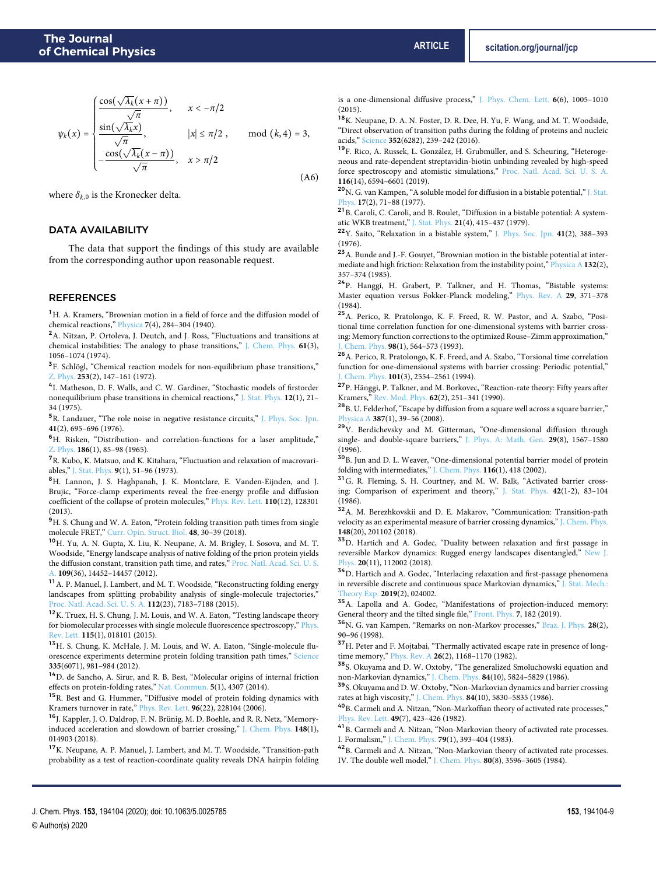where  $\delta_{k,0}$  is the Kronecker delta.

# DATA AVAILABILITY

The data that support the findings of this study are available from the corresponding author upon reasonable request.

#### REFERENCES

<span id="page-8-0"></span><sup>1</sup>H. A. Kramers, "Brownian motion in a field of force and the diffusion model of chemical reactions," [Physica](https://doi.org/10.1016/s0031-8914(40)90098-2) **7**(4), 284–304 (1940).

<span id="page-8-1"></span><sup>2</sup>A. Nitzan, P. Ortoleva, J. Deutch, and J. Ross, "Fluctuations and transitions at chemical instabilities: The analogy to phase transitions," [J. Chem. Phys.](https://doi.org/10.1063/1.1681974) **61**(3), 1056–1074 (1974).

<sup>3</sup>F. Schlögl, "Chemical reaction models for non-equilibrium phase transitions," [Z. Phys.](https://doi.org/10.1007/bf01379769) **253**(2), 147–161 (1972).

<span id="page-8-2"></span><sup>4</sup>I. Matheson, D. F. Walls, and C. W. Gardiner, "Stochastic models of firstorder nonequilibrium phase transitions in chemical reactions," [J. Stat. Phys.](https://doi.org/10.1007/bf01024182) **12**(1), 21– 34 (1975).

<span id="page-8-3"></span><sup>5</sup>R. Landauer, "The role noise in negative resistance circuits," [J. Phys. Soc. Jpn.](https://doi.org/10.1143/jpsj.41.695) **41**(2), 695–696 (1976).

<span id="page-8-4"></span><sup>6</sup>H. Risken, "Distribution- and correlation-functions for a laser amplitude," [Z. Phys.](https://doi.org/10.1007/bf01383512) **186**(1), 85–98 (1965).

<span id="page-8-5"></span><sup>7</sup>R. Kubo, K. Matsuo, and K. Kitahara, "Fluctuation and relaxation of macrovariables," [J. Stat. Phys.](https://doi.org/10.1007/bf01016797) **9**(1), 51–96 (1973).

<span id="page-8-6"></span><sup>8</sup>H. Lannon, J. S. Haghpanah, J. K. Montclare, E. Vanden-Eijnden, and J. Brujic, "Force-clamp experiments reveal the free-energy profile and diffusion coefficient of the collapse of protein molecules," [Phys. Rev. Lett.](https://doi.org/10.1103/physrevlett.110.128301) **110**(12), 128301 (2013).

<sup>9</sup>H. S. Chung and W. A. Eaton, "Protein folding transition path times from single molecule FRET," [Curr. Opin. Struct. Biol.](https://doi.org/10.1016/j.sbi.2017.10.007) **48**, 30–39 (2018).

<sup>10</sup>H. Yu, A. N. Gupta, X. Liu, K. Neupane, A. M. Brigley, I. Sosova, and M. T. Woodside, "Energy landscape analysis of native folding of the prion protein yields the diffusion constant, transition path time, and rates," [Proc. Natl. Acad. Sci. U. S.](https://doi.org/10.1073/pnas.1206190109) [A.](https://doi.org/10.1073/pnas.1206190109) **109**(36), 14452–14457 (2012).

 $^{11}\!$  A. P. Manuel, J. Lambert, and M. T. Woodside, "Reconstructing folding energy landscapes from splitting probability analysis of single-molecule trajectories,' [Proc. Natl. Acad. Sci. U. S. A.](https://doi.org/10.1073/pnas.1419490112) **112**(23), 7183–7188 (2015).

<sup>12</sup>K. Truex, H. S. Chung, J. M. Louis, and W. A. Eaton, "Testing landscape theory for biomolecular processes with single molecule fluorescence spectroscopy," [Phys.](https://doi.org/10.1103/physrevlett.115.018101) [Rev. Lett.](https://doi.org/10.1103/physrevlett.115.018101) **115**(1), 018101 (2015).

<sup>13</sup>H. S. Chung, K. McHale, J. M. Louis, and W. A. Eaton, "Single-molecule fluorescence experiments determine protein folding transition path times," [Science](https://doi.org/10.1126/science.1215768) **335**(6071), 981–984 (2012).

<sup>14</sup>D. de Sancho, A. Sirur, and R. B. Best, "Molecular origins of internal friction effects on protein-folding rates," [Nat. Commun.](https://doi.org/10.1038/ncomms5307) **5**(1), 4307 (2014).

<sup>15</sup>R. Best and G. Hummer, "Diffusive model of protein folding dynamics with Kramers turnover in rate," [Phys. Rev. Lett.](https://doi.org/10.1103/physrevlett.96.228104) **96**(22), 228104 (2006).

<span id="page-8-7"></span><sup>16</sup>J. Kappler, J. O. Daldrop, F. N. Brünig, M. D. Boehle, and R. R. Netz, "Memoryinduced acceleration and slowdown of barrier crossing," [J. Chem. Phys.](https://doi.org/10.1063/1.4998239) **148**(1), 014903 (2018).

<span id="page-8-8"></span><sup>17</sup>K. Neupane, A. P. Manuel, J. Lambert, and M. T. Woodside, "Transition-path probability as a test of reaction-coordinate quality reveals DNA hairpin folding is a one-dimensional diffusive process," [J. Phys. Chem. Lett.](https://doi.org/10.1021/acs.jpclett.5b00176) **6**(6), 1005–1010 (2015).

<span id="page-8-9"></span><sup>18</sup>K. Neupane, D. A. N. Foster, D. R. Dee, H. Yu, F. Wang, and M. T. Woodside, "Direct observation of transition paths during the folding of proteins and nucleic acids," [Science](https://doi.org/10.1126/science.aad0637) **352**(6282), 239–242 (2016).

<span id="page-8-10"></span><sup>19</sup>F. Rico, A. Russek, L. González, H. Grubmüller, and S. Scheuring, "Heterogeneous and rate-dependent streptavidin-biotin unbinding revealed by high-speed force spectroscopy and atomistic simulations," [Proc. Natl. Acad. Sci. U. S. A.](https://doi.org/10.1073/pnas.1816909116) **116**(14), 6594–6601 (2019).

<span id="page-8-11"></span><sup>20</sup>N. G. van Kampen, "A soluble model for diffusion in a bistable potential," [J. Stat.](https://doi.org/10.1007/bf01268919) [Phys.](https://doi.org/10.1007/bf01268919) **17**(2), 71–88 (1977).

<sup>21</sup>B. Caroli, C. Caroli, and B. Roulet, "Diffusion in a bistable potential: A systematic WKB treatment," [J. Stat. Phys.](https://doi.org/10.1007/bf01009609) **21**(4), 415–437 (1979).

<sup>22</sup>Y. Saito, "Relaxation in a bistable system," [J. Phys. Soc. Jpn.](https://doi.org/10.1143/jpsj.41.388) **41**(2), 388–393 (1976).

<sup>23</sup>A. Bunde and J.-F. Gouyet, "Brownian motion in the bistable potential at intermediate and high friction: Relaxation from the instability point," [Physica A](https://doi.org/10.1016/0378-4371(85)90016-0) **132**(2), 357–374 (1985).

<sup>24</sup>P. Hanggi, H. Grabert, P. Talkner, and H. Thomas, "Bistable systems: Master equation versus Fokker-Planck modeling," [Phys. Rev. A](https://doi.org/10.1103/physreva.29.371) **29**, 371–378 (1984).

<span id="page-8-22"></span><sup>25</sup>A. Perico, R. Pratolongo, K. F. Freed, R. W. Pastor, and A. Szabo, "Positional time correlation function for one-dimensional systems with barrier crossing: Memory function corrections to the optimized Rouse–Zimm approximation," [J. Chem. Phys.](https://doi.org/10.1063/1.464598) **98**(1), 564–573 (1993).

<span id="page-8-12"></span><sup>26</sup>A. Perico, R. Pratolongo, K. F. Freed, and A. Szabo, "Torsional time correlation function for one-dimensional systems with barrier crossing: Periodic potential," [J. Chem. Phys.](https://doi.org/10.1063/1.467628) **101**(3), 2554–2561 (1994).

<span id="page-8-13"></span><sup>27</sup>P. Hänggi, P. Talkner, and M. Borkovec, "Reaction-rate theory: Fifty years after Kramers," [Rev. Mod. Phys.](https://doi.org/10.1103/revmodphys.62.251) **62**(2), 251–341 (1990).

<sup>28</sup>B. U. Felderhof, "Escape by diffusion from a square well across a square barrier," [Physica A](https://doi.org/10.1016/j.physa.2007.08.041) **387**(1), 39–56 (2008).

<sup>29</sup>V. Berdichevsky and M. Gitterman, "One-dimensional diffusion through single- and double-square barriers," [J. Phys. A: Math. Gen.](https://doi.org/10.1088/0305-4470/29/8/006) **29**(8), 1567–1580 (1996).

<sup>30</sup>B. Jun and D. L. Weaver, "One-dimensional potential barrier model of protein folding with intermediates," [J. Chem. Phys.](https://doi.org/10.1063/1.1425819) **116**(1), 418 (2002).

<sup>31</sup>G. R. Fleming, S. H. Courtney, and M. W. Balk, "Activated barrier crossing: Comparison of experiment and theory," [J. Stat. Phys.](https://doi.org/10.1007/bf01010842) **42**(1-2), 83–104 (1986).

<sup>32</sup>A. M. Berezhkovskii and D. E. Makarov, "Communication: Transition-path velocity as an experimental measure of barrier crossing dynamics," [J. Chem. Phys.](https://doi.org/10.1063/1.5030427) **148**(20), 201102 (2018).

<sup>33</sup>D. Hartich and A. Godec, "Duality between relaxation and first passage in reversible Markov dynamics: Rugged energy landscapes disentangled," [New J.](https://doi.org/10.1088/1367-2630/aaf038) [Phys.](https://doi.org/10.1088/1367-2630/aaf038) **20**(11), 112002 (2018).

<span id="page-8-14"></span><sup>34</sup>D. Hartich and A. Godec, "Interlacing relaxation and first-passage phenomena in reversible discrete and continuous space Markovian dynamics," [J. Stat. Mech.:](https://doi.org/10.1088/1742-5468/ab00df) [Theory Exp.](https://doi.org/10.1088/1742-5468/ab00df) **2019**(2), 024002.

<span id="page-8-15"></span><sup>35</sup>A. Lapolla and A. Godec, "Manifestations of projection-induced memory: General theory and the tilted single file," [Front. Phys.](https://doi.org/10.3389/fphy.2019.00182) **7**, 182 (2019).

<span id="page-8-16"></span><sup>36</sup>N. G. van Kampen, "Remarks on non-Markov processes," [Braz. J. Phys.](https://doi.org/10.1590/s0103-97331998000200003) **28**(2), 90–96 (1998).

<span id="page-8-17"></span><sup>37</sup>H. Peter and F. Mojtabai, "Thermally activated escape rate in presence of longtime memory," [Phys. Rev. A](https://doi.org/10.1103/physreva.26.1168) **26**(2), 1168–1170 (1982).

<sup>38</sup>S. Okuyama and D. W. Oxtoby, "The generalized Smoluchowski equation and non-Markovian dynamics," [J. Chem. Phys.](https://doi.org/10.1063/1.449892) **84**(10), 5824–5829 (1986).

<span id="page-8-18"></span> $^{39}$  S. Okuyama and D. W. Oxtoby, "Non-Markovian dynamics and barrier crossing rates at high viscosity," [J. Chem. Phys.](https://doi.org/10.1063/1.449893) **84**(10), 5830–5835 (1986).

<span id="page-8-19"></span><sup>40</sup>B. Carmeli and A. Nitzan, "Non-Markoffian theory of activated rate processes," [Phys. Rev. Lett.](https://doi.org/10.1103/physrevlett.49.423) **49**(7), 423–426 (1982).

<span id="page-8-20"></span> $41\,\text{B}$ . Carmeli and A. Nitzan, "Non-Markovian theory of activated rate processes. I. Formalism," [J. Chem. Phys.](https://doi.org/10.1063/1.445535) **79**(1), 393–404 (1983).

<span id="page-8-21"></span><sup>42</sup>B. Carmeli and A. Nitzan, "Non-Markovian theory of activated rate processes. IV. The double well model," [J. Chem. Phys.](https://doi.org/10.1063/1.447179) **80**(8), 3596–3605 (1984).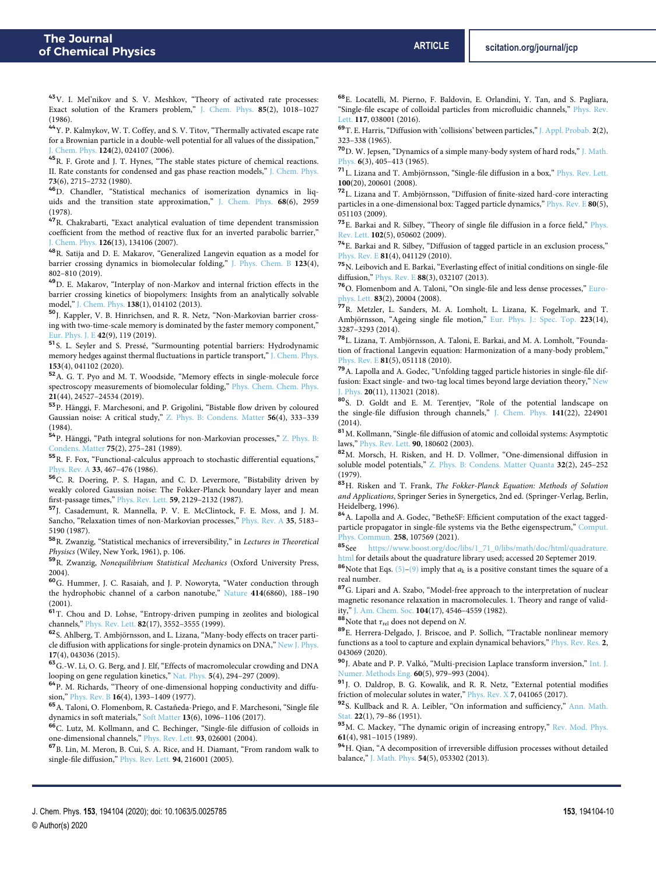<span id="page-9-0"></span><sup>43</sup>V. I. Mel'nikov and S. V. Meshkov, "Theory of activated rate processes: Exact solution of the Kramers problem," [J. Chem. Phys.](https://doi.org/10.1063/1.451844) **85**(2), 1018–1027 (1986).

<span id="page-9-1"></span><sup>44</sup>Y. P. Kalmykov, W. T. Coffey, and S. V. Titov, "Thermally activated escape rate for a Brownian particle in a double-well potential for all values of the dissipation," Chem. Phys. **124**(2), 024107 (2006).

<span id="page-9-2"></span><sup>45</sup>R. F. Grote and J. T. Hynes, "The stable states picture of chemical reactions. II. Rate constants for condensed and gas phase reaction models," [J. Chem. Phys.](https://doi.org/10.1063/1.440485) **73**(6), 2715–2732 (1980).

<sup>46</sup>D. Chandler, "Statistical mechanics of isomerization dynamics in liquids and the transition state approximation," [J. Chem. Phys.](https://doi.org/10.1063/1.436049) **68**(6), 2959 (1978).

<span id="page-9-3"></span><sup>47</sup>R. Chakrabarti, "Exact analytical evaluation of time dependent transmission coefficient from the method of reactive flux for an inverted parabolic barrier," [J. Chem. Phys.](https://doi.org/10.1063/1.2713108) **126**(13), 134106 (2007).

<span id="page-9-4"></span><sup>48</sup>R. Satija and D. E. Makarov, "Generalized Langevin equation as a model for barrier crossing dynamics in biomolecular folding," [J. Phys. Chem. B](https://doi.org/10.1021/acs.jpcb.8b11137) **123**(4), 802–810 (2019).

<span id="page-9-32"></span><sup>49</sup>D. E. Makarov, "Interplay of non-Markov and internal friction effects in the barrier crossing kinetics of biopolymers: Insights from an analytically solvable model," [J. Chem. Phys.](https://doi.org/10.1063/1.4773283) **138**(1), 014102 (2013).

<span id="page-9-5"></span><sup>50</sup>J. Kappler, V. B. Hinrichsen, and R. R. Netz, "Non-Markovian barrier crossing with two-time-scale memory is dominated by the faster memory component," [Eur. Phys. J. E](https://doi.org/10.1140/epje/i2019-11886-7) **42**(9), 119 (2019).

<span id="page-9-6"></span><sup>51</sup>S. L. Seyler and S. Pressé, "Surmounting potential barriers: Hydrodynamic memory hedges against thermal fluctuations in particle transport," [J. Chem. Phys.](https://doi.org/10.1063/5.0013722) **153**(4), 041102 (2020).

<span id="page-9-7"></span><sup>52</sup>A. G. T. Pyo and M. T. Woodside, "Memory effects in single-molecule force spectroscopy measurements of biomolecular folding," [Phys. Chem. Chem. Phys.](https://doi.org/10.1039/c9cp04197d) **21**(44), 24527–24534 (2019).

<span id="page-9-8"></span><sup>53</sup>P. Hänggi, F. Marchesoni, and P. Grigolini, "Bistable flow driven by coloured Gaussian noise: A critical study," [Z. Phys. B: Condens. Matter](https://doi.org/10.1007/bf01306642) **56**(4), 333–339 (1984).

<sup>54</sup>P. Hänggi, "Path integral solutions for non-Markovian processes," [Z. Phys. B:](https://doi.org/10.1007/bf01308011) [Condens. Matter](https://doi.org/10.1007/bf01308011) **75**(2), 275–281 (1989).

<sup>55</sup>R. F. Fox, "Functional-calculus approach to stochastic differential equations," [Phys. Rev. A](https://doi.org/10.1103/physreva.33.467) **33**, 467–476 (1986).

<sup>56</sup>C. R. Doering, P. S. Hagan, and C. D. Levermore, "Bistability driven by weakly colored Gaussian noise: The Fokker-Planck boundary layer and mean first-passage times," [Phys. Rev. Lett.](https://doi.org/10.1103/physrevlett.59.2129) **59**, 2129–2132 (1987).

<span id="page-9-9"></span><sup>57</sup>J. Casademunt, R. Mannella, P. V. E. McClintock, F. E. Moss, and J. M. Sancho, "Relaxation times of non-Markovian processes," [Phys. Rev. A](https://doi.org/10.1103/physreva.35.5183) **35**, 5183– 5190 (1987).

<span id="page-9-10"></span><sup>58</sup>R. Zwanzig, "Statistical mechanics of irreversibility," in Lectures in Theoretical Physiscs (Wiley, New York, 1961), p. 106.

<span id="page-9-11"></span>59R. Zwanzig, Nonequilibrium Statistical Mechanics (Oxford University Press, 2004).

<span id="page-9-12"></span><sup>60</sup>G. Hummer, J. C. Rasaiah, and J. P. Noworyta, "Water conduction through the hydrophobic channel of a carbon nanotube," [Nature](https://doi.org/10.1038/35102535) **414**(6860), 188–190 (2001).

<span id="page-9-13"></span><sup>61</sup>T. Chou and D. Lohse, "Entropy-driven pumping in zeolites and biological channels," [Phys. Rev. Lett.](https://doi.org/10.1103/physrevlett.82.3552) **82**(17), 3552–3555 (1999).

<span id="page-9-14"></span><sup>62</sup>S. Ahlberg, T. Ambjörnsson, and L. Lizana, "Many-body effects on tracer particle diffusion with applications for single-protein dynamics on DNA," [New J. Phys.](https://doi.org/10.1088/1367-2630/17/4/043036) **17**(4), 043036 (2015).

<span id="page-9-15"></span> $\mathbf{^{63}G.}$  W. Li, O. G. Berg, and J. Elf, "Effects of macromolecular crowding and DNA looping on gene regulation kinetics," [Nat. Phys.](https://doi.org/10.1038/nphys1222) **5**(4), 294–297 (2009).

<span id="page-9-16"></span><sup>64</sup>P. M. Richards, "Theory of one-dimensional hopping conductivity and diffusion," [Phys. Rev. B](https://doi.org/10.1103/physrevb.16.1393) **16**(4), 1393–1409 (1977).

<span id="page-9-17"></span><sup>65</sup>A. Taloni, O. Flomenbom, R. Castañeda-Priego, and F. Marchesoni, "Single file dynamics in soft materials," [Soft Matter](https://doi.org/10.1039/c6sm02570f) **13**(6), 1096–1106 (2017).

<sup>66</sup>C. Lutz, M. Kollmann, and C. Bechinger, "Single-file diffusion of colloids in one-dimensional channels," [Phys. Rev. Lett.](https://doi.org/10.1103/physrevlett.93.026001) **93**, 026001 (2004).

<sup>67</sup>B. Lin, M. Meron, B. Cui, S. A. Rice, and H. Diamant, "From random walk to single-file diffusion," [Phys. Rev. Lett.](https://doi.org/10.1103/physrevlett.94.216001) **94**, 216001 (2005).

<span id="page-9-18"></span><sup>68</sup>E. Locatelli, M. Pierno, F. Baldovin, E. Orlandini, Y. Tan, and S. Pagliara, "Single-file escape of colloidal particles from microfluidic channels," [Phys. Rev.](https://doi.org/10.1103/physrevlett.117.038001) [Lett.](https://doi.org/10.1103/physrevlett.117.038001) **117**, 038001 (2016).

<span id="page-9-19"></span><sup>69</sup>T. E. Harris, "Diffusion with 'collisions' between particles," [J. Appl. Probab.](https://doi.org/10.1017/s002190020010868x) **2**(2), 323–338 (1965).

<sup>70</sup>D. W. Jepsen, "Dynamics of a simple many-body system of hard rods," [J. Math.](https://doi.org/10.1063/1.1704288) [Phys.](https://doi.org/10.1063/1.1704288) **6**(3), 405–413 (1965).

<sup>71</sup>L. Lizana and T. Ambjörnsson, "Single-file diffusion in a box," [Phys. Rev. Lett.](https://doi.org/10.1103/physrevlett.100.200601) **100**(20), 200601 (2008).

<sup>72</sup>L. Lizana and T. Ambjörnsson, "Diffusion of finite-sized hard-core interacting particles in a one-dimensional box: Tagged particle dynamics," [Phys. Rev. E](https://doi.org/10.1103/physreve.80.051103) **80**(5), 051103 (2009).

<sup>73</sup>E. Barkai and R. Silbey, "Theory of single file diffusion in a force field," [Phys.](https://doi.org/10.1103/physrevlett.102.050602) [Rev. Lett.](https://doi.org/10.1103/physrevlett.102.050602) **102**(5), 050602 (2009).

<sup>74</sup>E. Barkai and R. Silbey, "Diffusion of tagged particle in an exclusion process," [Phys. Rev. E](https://doi.org/10.1103/physreve.81.041129) **81**(4), 041129 (2010).

 $^{75}\rm{N}$  . Leibovich and E. Barkai, "Everlasting effect of initial conditions on single-file diffusion," [Phys. Rev. E](https://doi.org/10.1103/physreve.88.032107) **88**(3), 032107 (2013).

<sup>76</sup>O. Flomenbom and A. Taloni, "On single-file and less dense processes," [Euro](https://doi.org/10.1209/0295-5075/83/20004)[phys. Lett.](https://doi.org/10.1209/0295-5075/83/20004) **83**(2), 20004 (2008).

<span id="page-9-20"></span><sup>77</sup>R. Metzler, L. Sanders, M. A. Lomholt, L. Lizana, K. Fogelmark, and T. Ambjörnsson, "Ageing single file motion," [Eur. Phys. J.: Spec. Top.](https://doi.org/10.1140/epjst/e2014-02333-5) **223**(14), 3287–3293 (2014).

<span id="page-9-21"></span><sup>78</sup>L. Lizana, T. Ambjörnsson, A. Taloni, E. Barkai, and M. A. Lomholt, "Foundation of fractional Langevin equation: Harmonization of a many-body problem," [Phys. Rev. E](https://doi.org/10.1103/physreve.81.051118) **81**(5), 051118 (2010).

<span id="page-9-22"></span><sup>79</sup>A. Lapolla and A. Godec, "Unfolding tagged particle histories in single-file diffusion: Exact single- and two-tag local times beyond large deviation theory," [New](https://doi.org/10.1088/1367-2630/aaea1b) [J. Phys.](https://doi.org/10.1088/1367-2630/aaea1b) **20**(11), 113021 (2018).

<span id="page-9-23"></span><sup>80</sup>S. D. Goldt and E. M. Terentjev, "Role of the potential landscape on the single-file diffusion through channels," [J. Chem. Phys.](https://doi.org/10.1063/1.4903175) **141**(22), 224901 (2014).

<span id="page-9-24"></span> $^{\bf 81}$  M. Kollmann, "Single-file diffusion of atomic and colloidal systems: Asymptotic laws," [Phys. Rev. Lett.](https://doi.org/10.1103/physrevlett.90.180602) **90**, 180602 (2003).

<span id="page-9-25"></span><sup>82</sup>M. Morsch, H. Risken, and H. D. Vollmer, "One-dimensional diffusion in soluble model potentials," [Z. Phys. B: Condens. Matter Quanta](https://doi.org/10.1007/bf01320120) **32**(2), 245–252 (1979).

<span id="page-9-26"></span>83 H. Risken and T. Frank, The Fokker-Planck Equation: Methods of Solution and Applications, Springer Series in Synergetics, 2nd ed. (Springer-Verlag, Berlin, Heidelberg, 1996).

<span id="page-9-27"></span><sup>84</sup>A. Lapolla and A. Godec, "BetheSF: Efficient computation of the exact tagged-particle propagator in single-file systems via the Bethe eigenspectrum," [Comput.](https://doi.org/10.1016/j.cpc.2020.107569) [Phys. Commun.](https://doi.org/10.1016/j.cpc.2020.107569) **258**, 107569 (2021).

<span id="page-9-28"></span>85See [https://www.boost.org/doc/libs/1\\_71\\_0/libs/math/doc/html/quadrature.](https://www.boost.org/doc/libs/1_71_0/libs/math/doc/html/quadrature.html) [html](https://www.boost.org/doc/libs/1_71_0/libs/math/doc/html/quadrature.html) for details about the quadrature library used; accessed 20 Septemer 2019.

<span id="page-9-29"></span><sup>86</sup>Note that Eqs. [\(5\)](#page-1-3)[–\(9\)](#page-2-3) imply that  $a_k$  is a positive constant times the square of a real number.

<span id="page-9-30"></span> $\rm ^{87}G.$  Lipari and A. Szabo, "Model-free approach to the interpretation of nuclear magnetic resonance relaxation in macromolecules. 1. Theory and range of validity," [J. Am. Chem. Soc.](https://doi.org/10.1021/ja00381a009) **104**(17), 4546–4559 (1982).

<span id="page-9-31"></span><sup>88</sup>Note that *τ*rel does not depend on N.

<span id="page-9-33"></span><sup>89</sup>E. Herrera-Delgado, J. Briscoe, and P. Sollich, "Tractable nonlinear memory functions as a tool to capture and explain dynamical behaviors," [Phys. Rev. Res.](https://doi.org/10.1103/physrevresearch.2.043069) **2**, 043069 (2020).

<span id="page-9-34"></span><sup>90</sup>J. Abate and P. P. Valkó, "Multi-precision Laplace transform inversion," [Int. J.](https://doi.org/10.1002/nme.995) [Numer. Methods Eng.](https://doi.org/10.1002/nme.995) **60**(5), 979–993 (2004).

<span id="page-9-35"></span><sup>91</sup>J. O. Daldrop, B. G. Kowalik, and R. R. Netz, "External potential modifies friction of molecular solutes in water," [Phys. Rev. X](https://doi.org/10.1103/physrevx.7.041065) **7**, 041065 (2017).

<span id="page-9-36"></span><sup>92</sup>S. Kullback and R. A. Leibler, "On information and sufficiency," [Ann. Math.](https://doi.org/10.1214/aoms/1177729694) [Stat.](https://doi.org/10.1214/aoms/1177729694) **22**(1), 79–86 (1951).

<span id="page-9-37"></span>93 M. C. Mackey, "The dynamic origin of increasing entropy," [Rev. Mod. Phys.](https://doi.org/10.1103/revmodphys.61.981) **61**(4), 981–1015 (1989).

94H. Qian, "A decomposition of irreversible diffusion processes without detailed balance," [J. Math. Phys.](https://doi.org/10.1063/1.4803847) **54**(5), 053302 (2013).